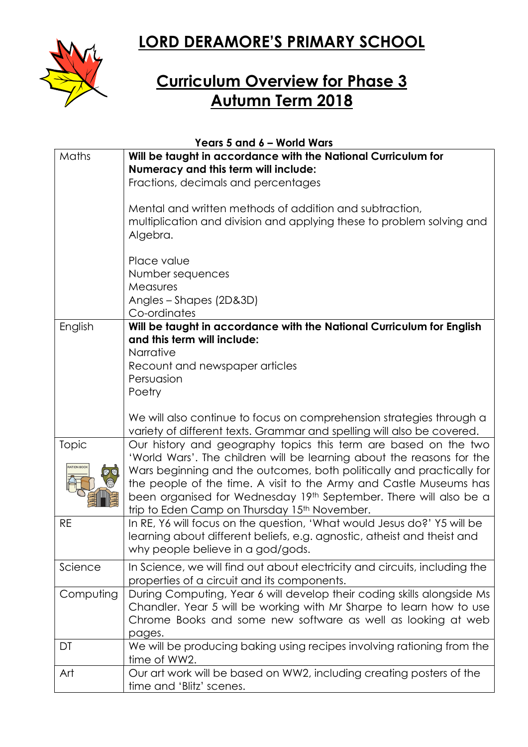## LORD DERAMORE'S PRIMARY SCHOOL



## Curriculum Overview for Phase 3 Autumn Term 2018

| Years 5 and 6 - World Wars  |                                                                                                                                                                                                                   |  |
|-----------------------------|-------------------------------------------------------------------------------------------------------------------------------------------------------------------------------------------------------------------|--|
| Maths                       | Will be taught in accordance with the National Curriculum for                                                                                                                                                     |  |
|                             | Numeracy and this term will include:                                                                                                                                                                              |  |
|                             | Fractions, decimals and percentages                                                                                                                                                                               |  |
|                             | Mental and written methods of addition and subtraction,<br>multiplication and division and applying these to problem solving and<br>Algebra.                                                                      |  |
|                             | Place value                                                                                                                                                                                                       |  |
|                             | Number sequences                                                                                                                                                                                                  |  |
|                             | Measures                                                                                                                                                                                                          |  |
|                             | Angles - Shapes (2D&3D)                                                                                                                                                                                           |  |
|                             | Co-ordinates                                                                                                                                                                                                      |  |
| English                     | Will be taught in accordance with the National Curriculum for English                                                                                                                                             |  |
|                             | and this term will include:                                                                                                                                                                                       |  |
|                             | Narrative                                                                                                                                                                                                         |  |
|                             | Recount and newspaper articles                                                                                                                                                                                    |  |
|                             | Persuasion                                                                                                                                                                                                        |  |
|                             | Poetry                                                                                                                                                                                                            |  |
|                             |                                                                                                                                                                                                                   |  |
|                             | We will also continue to focus on comprehension strategies through a                                                                                                                                              |  |
|                             | variety of different texts. Grammar and spelling will also be covered.                                                                                                                                            |  |
| Topic<br><b>RATION BOOK</b> | Our history and geography topics this term are based on the two<br>'World Wars'. The children will be learning about the reasons for the<br>Wars beginning and the outcomes, both politically and practically for |  |
|                             | the people of the time. A visit to the Army and Castle Museums has                                                                                                                                                |  |
|                             | been organised for Wednesday 19th September. There will also be a                                                                                                                                                 |  |
|                             | trip to Eden Camp on Thursday 15th November.                                                                                                                                                                      |  |
| RE                          | In RE, Y6 will focus on the question, 'What would Jesus do?' Y5 will be                                                                                                                                           |  |
|                             | learning about different beliefs, e.g. agnostic, atheist and theist and                                                                                                                                           |  |
|                             | why people believe in a god/gods.                                                                                                                                                                                 |  |
| Science                     | In Science, we will find out about electricity and circuits, including the                                                                                                                                        |  |
|                             | properties of a circuit and its components.                                                                                                                                                                       |  |
| Computing                   | During Computing, Year 6 will develop their coding skills alongside Ms                                                                                                                                            |  |
|                             | Chandler. Year 5 will be working with Mr Sharpe to learn how to use                                                                                                                                               |  |
|                             | Chrome Books and some new software as well as looking at web                                                                                                                                                      |  |
|                             | pages.                                                                                                                                                                                                            |  |
| DT                          | We will be producing baking using recipes involving rationing from the                                                                                                                                            |  |
|                             | time of WW2.                                                                                                                                                                                                      |  |
| Art                         | Our art work will be based on WW2, including creating posters of the                                                                                                                                              |  |
|                             | time and 'Blitz' scenes.                                                                                                                                                                                          |  |